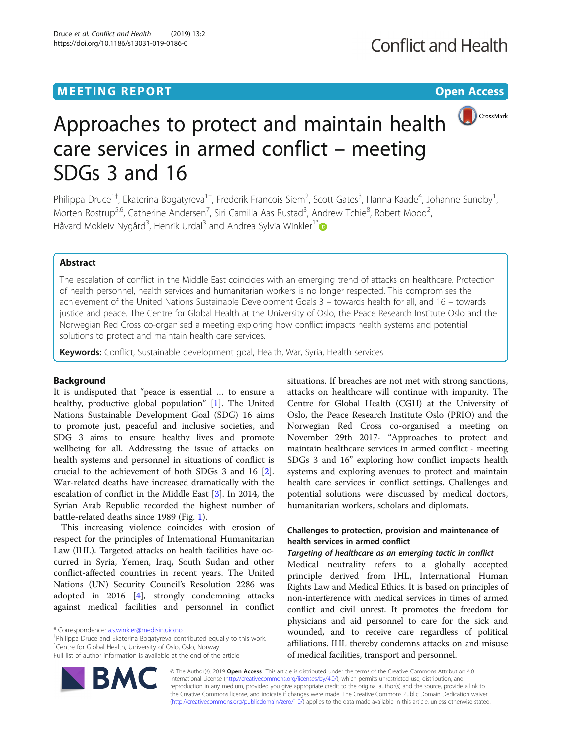# **MEETING REPORT CONSUMING ACCESS**



# Approaches to protect and maintain health care services in armed conflict – meeting SDGs 3 and 16

Philippa Druce<sup>1†</sup>, Ekaterina Bogatyreva<sup>1†</sup>, Frederik Francois Siem<sup>2</sup>, Scott Gates<sup>3</sup>, Hanna Kaade<sup>4</sup>, Johanne Sundby<sup>1</sup> , Morten Rostrup<sup>5,6</sup>, Catherine Andersen<sup>7</sup>, Siri Camilla Aas Rustad<sup>3</sup>, Andrew Tchie<sup>8</sup>, Robert Mood<sup>2</sup> , Håvard Mokleiv Nygård<sup>3</sup>, Henrik Urdal<sup>3</sup> and Andrea Sylvia Winkler<sup>1\*</sup>

# Abstract

The escalation of conflict in the Middle East coincides with an emerging trend of attacks on healthcare. Protection of health personnel, health services and humanitarian workers is no longer respected. This compromises the achievement of the United Nations Sustainable Development Goals 3 – towards health for all, and 16 – towards justice and peace. The Centre for Global Health at the University of Oslo, the Peace Research Institute Oslo and the Norwegian Red Cross co-organised a meeting exploring how conflict impacts health systems and potential solutions to protect and maintain health care services.

Keywords: Conflict, Sustainable development goal, Health, War, Syria, Health services

# Background

It is undisputed that "peace is essential … to ensure a healthy, productive global population" [[1](#page-3-0)]. The United Nations Sustainable Development Goal (SDG) 16 aims to promote just, peaceful and inclusive societies, and SDG 3 aims to ensure healthy lives and promote wellbeing for all. Addressing the issue of attacks on health systems and personnel in situations of conflict is crucial to the achievement of both SDGs 3 and 16 [\[2](#page-3-0)]. War-related deaths have increased dramatically with the escalation of conflict in the Middle East [[3](#page-3-0)]. In 2014, the Syrian Arab Republic recorded the highest number of battle-related deaths since 1989 (Fig. [1\)](#page-1-0).

This increasing violence coincides with erosion of respect for the principles of International Humanitarian Law (IHL). Targeted attacks on health facilities have occurred in Syria, Yemen, Iraq, South Sudan and other conflict-affected countries in recent years. The United Nations (UN) Security Council's Resolution 2286 was adopted in 2016 [\[4](#page-3-0)], strongly condemning attacks against medical facilities and personnel in conflict

<sup>+</sup>Philippa Druce and Ekaterina Bogatyreva contributed equally to this work. <sup>1</sup> Centre for Global Health, University of Oslo, Oslo, Norway Full list of author information is available at the end of the article

situations. If breaches are not met with strong sanctions, attacks on healthcare will continue with impunity. The Centre for Global Health (CGH) at the University of Oslo, the Peace Research Institute Oslo (PRIO) and the Norwegian Red Cross co-organised a meeting on November 29th 2017- "Approaches to protect and maintain healthcare services in armed conflict - meeting SDGs 3 and 16" exploring how conflict impacts health systems and exploring avenues to protect and maintain health care services in conflict settings. Challenges and potential solutions were discussed by medical doctors, humanitarian workers, scholars and diplomats.

# Challenges to protection, provision and maintenance of health services in armed conflict

# Targeting of healthcare as an emerging tactic in conflict

Medical neutrality refers to a globally accepted principle derived from IHL, International Human Rights Law and Medical Ethics. It is based on principles of non-interference with medical services in times of armed conflict and civil unrest. It promotes the freedom for physicians and aid personnel to care for the sick and wounded, and to receive care regardless of political affiliations. IHL thereby condemns attacks on and misuse of medical facilities, transport and personnel.



© The Author(s). 2019 Open Access This article is distributed under the terms of the Creative Commons Attribution 4.0 International License [\(http://creativecommons.org/licenses/by/4.0/](http://creativecommons.org/licenses/by/4.0/)), which permits unrestricted use, distribution, and reproduction in any medium, provided you give appropriate credit to the original author(s) and the source, provide a link to the Creative Commons license, and indicate if changes were made. The Creative Commons Public Domain Dedication waiver [\(http://creativecommons.org/publicdomain/zero/1.0/](http://creativecommons.org/publicdomain/zero/1.0/)) applies to the data made available in this article, unless otherwise stated.

<sup>\*</sup> Correspondence: [a.s.winkler@medisin.uio.no](mailto:a.s.winkler@medisin.uio.no) †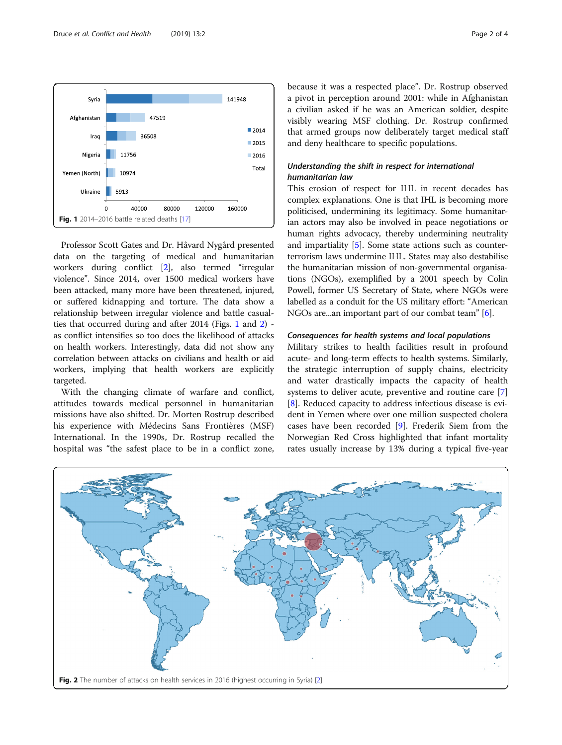**Fig. 1** 2014–2016 battle related deaths [\[17](#page-3-0)]

<span id="page-1-0"></span>

Professor Scott Gates and Dr. Håvard Nygård presented data on the targeting of medical and humanitarian workers during conflict [\[2](#page-3-0)], also termed "irregular violence". Since 2014, over 1500 medical workers have been attacked, many more have been threatened, injured, or suffered kidnapping and torture. The data show a relationship between irregular violence and battle casualties that occurred during and after 2014 (Figs. 1 and 2) as conflict intensifies so too does the likelihood of attacks on health workers. Interestingly, data did not show any correlation between attacks on civilians and health or aid workers, implying that health workers are explicitly targeted.

With the changing climate of warfare and conflict, attitudes towards medical personnel in humanitarian missions have also shifted. Dr. Morten Rostrup described his experience with Médecins Sans Frontières (MSF) International. In the 1990s, Dr. Rostrup recalled the hospital was "the safest place to be in a conflict zone, because it was a respected place". Dr. Rostrup observed a pivot in perception around 2001: while in Afghanistan a civilian asked if he was an American soldier, despite visibly wearing MSF clothing. Dr. Rostrup confirmed that armed groups now deliberately target medical staff and deny healthcare to specific populations.

# Understanding the shift in respect for international humanitarian law

This erosion of respect for IHL in recent decades has complex explanations. One is that IHL is becoming more politicised, undermining its legitimacy. Some humanitarian actors may also be involved in peace negotiations or human rights advocacy, thereby undermining neutrality and impartiality [\[5\]](#page-3-0). Some state actions such as counterterrorism laws undermine IHL. States may also destabilise the humanitarian mission of non-governmental organisations (NGOs), exemplified by a 2001 speech by Colin Powell, former US Secretary of State, where NGOs were labelled as a conduit for the US military effort: "American NGOs are...an important part of our combat team" [[6\]](#page-3-0).

# Consequences for health systems and local populations

Military strikes to health facilities result in profound acute- and long-term effects to health systems. Similarly, the strategic interruption of supply chains, electricity and water drastically impacts the capacity of health systems to deliver acute, preventive and routine care [\[7](#page-3-0)] [[8\]](#page-3-0). Reduced capacity to address infectious disease is evident in Yemen where over one million suspected cholera cases have been recorded [\[9](#page-3-0)]. Frederik Siem from the Norwegian Red Cross highlighted that infant mortality rates usually increase by 13% during a typical five-year

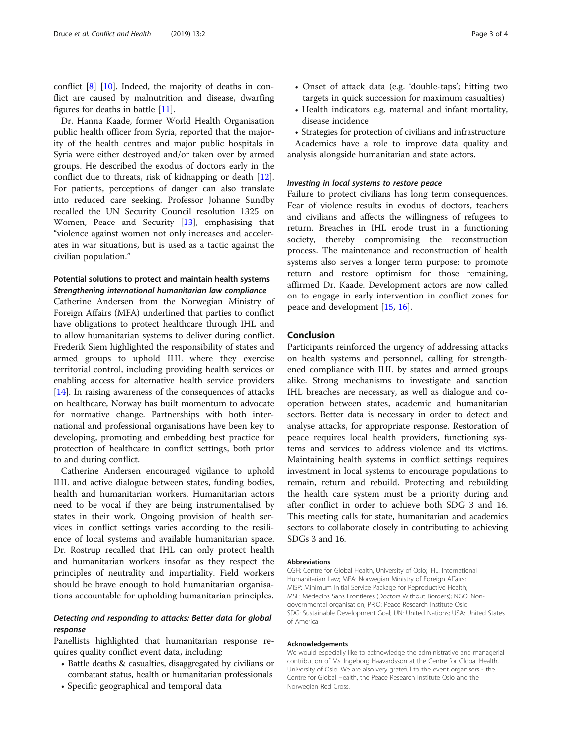conflict [\[8](#page-3-0)] [[10](#page-3-0)]. Indeed, the majority of deaths in conflict are caused by malnutrition and disease, dwarfing figures for deaths in battle [[11](#page-3-0)].

Dr. Hanna Kaade, former World Health Organisation public health officer from Syria, reported that the majority of the health centres and major public hospitals in Syria were either destroyed and/or taken over by armed groups. He described the exodus of doctors early in the conflict due to threats, risk of kidnapping or death [\[12](#page-3-0)]. For patients, perceptions of danger can also translate into reduced care seeking. Professor Johanne Sundby recalled the UN Security Council resolution 1325 on Women, Peace and Security [[13](#page-3-0)], emphasising that "violence against women not only increases and accelerates in war situations, but is used as a tactic against the civilian population."

# Potential solutions to protect and maintain health systems Strengthening international humanitarian law compliance

Catherine Andersen from the Norwegian Ministry of Foreign Affairs (MFA) underlined that parties to conflict have obligations to protect healthcare through IHL and to allow humanitarian systems to deliver during conflict. Frederik Siem highlighted the responsibility of states and armed groups to uphold IHL where they exercise territorial control, including providing health services or enabling access for alternative health service providers  $[14]$  $[14]$ . In raising awareness of the consequences of attacks on healthcare, Norway has built momentum to advocate for normative change. Partnerships with both international and professional organisations have been key to developing, promoting and embedding best practice for protection of healthcare in conflict settings, both prior to and during conflict.

Catherine Andersen encouraged vigilance to uphold IHL and active dialogue between states, funding bodies, health and humanitarian workers. Humanitarian actors need to be vocal if they are being instrumentalised by states in their work. Ongoing provision of health services in conflict settings varies according to the resilience of local systems and available humanitarian space. Dr. Rostrup recalled that IHL can only protect health and humanitarian workers insofar as they respect the principles of neutrality and impartiality. Field workers should be brave enough to hold humanitarian organisations accountable for upholding humanitarian principles.

# Detecting and responding to attacks: Better data for global response

Panellists highlighted that humanitarian response requires quality conflict event data, including:

- Battle deaths & casualties, disaggregated by civilians or combatant status, health or humanitarian professionals
- Specific geographical and temporal data
- Onset of attack data (e.g. 'double-taps'; hitting two targets in quick succession for maximum casualties)
- Health indicators e.g. maternal and infant mortality, disease incidence
- Strategies for protection of civilians and infrastructure

Academics have a role to improve data quality and analysis alongside humanitarian and state actors.

# Investing in local systems to restore peace

Failure to protect civilians has long term consequences. Fear of violence results in exodus of doctors, teachers and civilians and affects the willingness of refugees to return. Breaches in IHL erode trust in a functioning society, thereby compromising the reconstruction process. The maintenance and reconstruction of health systems also serves a longer term purpose: to promote return and restore optimism for those remaining, affirmed Dr. Kaade. Development actors are now called on to engage in early intervention in conflict zones for peace and development [\[15](#page-3-0), [16\]](#page-3-0).

# Conclusion

Participants reinforced the urgency of addressing attacks on health systems and personnel, calling for strengthened compliance with IHL by states and armed groups alike. Strong mechanisms to investigate and sanction IHL breaches are necessary, as well as dialogue and cooperation between states, academic and humanitarian sectors. Better data is necessary in order to detect and analyse attacks, for appropriate response. Restoration of peace requires local health providers, functioning systems and services to address violence and its victims. Maintaining health systems in conflict settings requires investment in local systems to encourage populations to remain, return and rebuild. Protecting and rebuilding the health care system must be a priority during and after conflict in order to achieve both SDG 3 and 16. This meeting calls for state, humanitarian and academics sectors to collaborate closely in contributing to achieving SDGs 3 and 16.

#### Abbreviations

CGH: Centre for Global Health, University of Oslo; IHL: International Humanitarian Law; MFA: Norwegian Ministry of Foreign Affairs; MISP: Minimum Initial Service Package for Reproductive Health; MSF: Médecins Sans Frontières (Doctors Without Borders); NGO: Nongovernmental organisation; PRIO: Peace Research Institute Oslo; SDG: Sustainable Development Goal; UN: United Nations; USA: United States of America

#### Acknowledgements

We would especially like to acknowledge the administrative and managerial contribution of Ms. Ingeborg Haavardsson at the Centre for Global Health, University of Oslo. We are also very grateful to the event organisers - the Centre for Global Health, the Peace Research Institute Oslo and the Norwegian Red Cross.